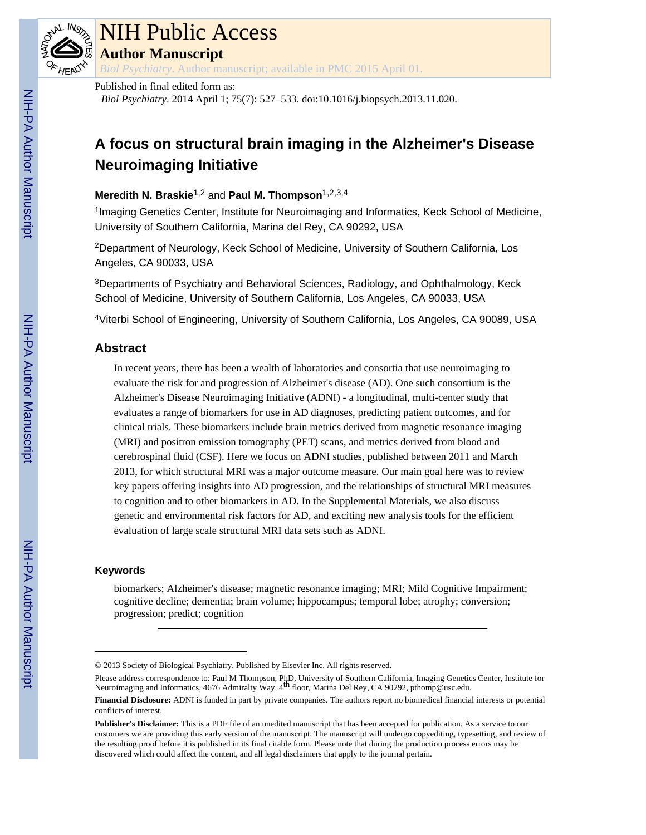

# NIH Public Access

**Author Manuscript**

*Biol Psychiatry*. Author manuscript; available in PMC 2015 April 01.

#### Published in final edited form as:

*Biol Psychiatry*. 2014 April 1; 75(7): 527–533. doi:10.1016/j.biopsych.2013.11.020.

# **A focus on structural brain imaging in the Alzheimer's Disease Neuroimaging Initiative**

## **Meredith N. Braskie**1,2 and **Paul M. Thompson**1,2,3,4

<sup>1</sup>Imaging Genetics Center, Institute for Neuroimaging and Informatics, Keck School of Medicine, University of Southern California, Marina del Rey, CA 90292, USA

<sup>2</sup>Department of Neurology, Keck School of Medicine, University of Southern California, Los Angeles, CA 90033, USA

<sup>3</sup>Departments of Psychiatry and Behavioral Sciences, Radiology, and Ophthalmology, Keck School of Medicine, University of Southern California, Los Angeles, CA 90033, USA

<sup>4</sup>Viterbi School of Engineering, University of Southern California, Los Angeles, CA 90089, USA

# **Abstract**

In recent years, there has been a wealth of laboratories and consortia that use neuroimaging to evaluate the risk for and progression of Alzheimer's disease (AD). One such consortium is the Alzheimer's Disease Neuroimaging Initiative (ADNI) - a longitudinal, multi-center study that evaluates a range of biomarkers for use in AD diagnoses, predicting patient outcomes, and for clinical trials. These biomarkers include brain metrics derived from magnetic resonance imaging (MRI) and positron emission tomography (PET) scans, and metrics derived from blood and cerebrospinal fluid (CSF). Here we focus on ADNI studies, published between 2011 and March 2013, for which structural MRI was a major outcome measure. Our main goal here was to review key papers offering insights into AD progression, and the relationships of structural MRI measures to cognition and to other biomarkers in AD. In the Supplemental Materials, we also discuss genetic and environmental risk factors for AD, and exciting new analysis tools for the efficient evaluation of large scale structural MRI data sets such as ADNI.

#### **Keywords**

biomarkers; Alzheimer's disease; magnetic resonance imaging; MRI; Mild Cognitive Impairment; cognitive decline; dementia; brain volume; hippocampus; temporal lobe; atrophy; conversion; progression; predict; cognition

<sup>© 2013</sup> Society of Biological Psychiatry. Published by Elsevier Inc. All rights reserved.

Please address correspondence to: Paul M Thompson, PhD, University of Southern California, Imaging Genetics Center, Institute for Neuroimaging and Informatics, 4676 Admiralty Way, 4<sup>th</sup> floor, Marina Del Rey, CA 90292, pthomp@usc.edu.

**Financial Disclosure:** ADNI is funded in part by private companies. The authors report no biomedical financial interests or potential conflicts of interest.

**Publisher's Disclaimer:** This is a PDF file of an unedited manuscript that has been accepted for publication. As a service to our customers we are providing this early version of the manuscript. The manuscript will undergo copyediting, typesetting, and review of the resulting proof before it is published in its final citable form. Please note that during the production process errors may be discovered which could affect the content, and all legal disclaimers that apply to the journal pertain.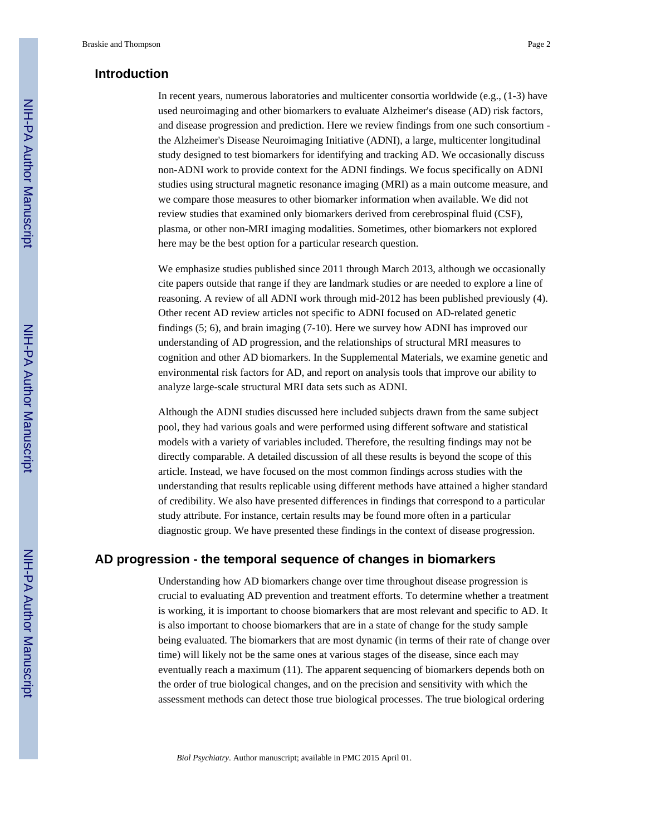## **Introduction**

In recent years, numerous laboratories and multicenter consortia worldwide (e.g., (1-3) have used neuroimaging and other biomarkers to evaluate Alzheimer's disease (AD) risk factors, and disease progression and prediction. Here we review findings from one such consortium the Alzheimer's Disease Neuroimaging Initiative (ADNI), a large, multicenter longitudinal study designed to test biomarkers for identifying and tracking AD. We occasionally discuss non-ADNI work to provide context for the ADNI findings. We focus specifically on ADNI studies using structural magnetic resonance imaging (MRI) as a main outcome measure, and we compare those measures to other biomarker information when available. We did not review studies that examined only biomarkers derived from cerebrospinal fluid (CSF), plasma, or other non-MRI imaging modalities. Sometimes, other biomarkers not explored here may be the best option for a particular research question.

We emphasize studies published since 2011 through March 2013, although we occasionally cite papers outside that range if they are landmark studies or are needed to explore a line of reasoning. A review of all ADNI work through mid-2012 has been published previously (4). Other recent AD review articles not specific to ADNI focused on AD-related genetic findings (5; 6), and brain imaging (7-10). Here we survey how ADNI has improved our understanding of AD progression, and the relationships of structural MRI measures to cognition and other AD biomarkers. In the Supplemental Materials, we examine genetic and environmental risk factors for AD, and report on analysis tools that improve our ability to analyze large-scale structural MRI data sets such as ADNI.

Although the ADNI studies discussed here included subjects drawn from the same subject pool, they had various goals and were performed using different software and statistical models with a variety of variables included. Therefore, the resulting findings may not be directly comparable. A detailed discussion of all these results is beyond the scope of this article. Instead, we have focused on the most common findings across studies with the understanding that results replicable using different methods have attained a higher standard of credibility. We also have presented differences in findings that correspond to a particular study attribute. For instance, certain results may be found more often in a particular diagnostic group. We have presented these findings in the context of disease progression.

#### **AD progression - the temporal sequence of changes in biomarkers**

Understanding how AD biomarkers change over time throughout disease progression is crucial to evaluating AD prevention and treatment efforts. To determine whether a treatment is working, it is important to choose biomarkers that are most relevant and specific to AD. It is also important to choose biomarkers that are in a state of change for the study sample being evaluated. The biomarkers that are most dynamic (in terms of their rate of change over time) will likely not be the same ones at various stages of the disease, since each may eventually reach a maximum (11). The apparent sequencing of biomarkers depends both on the order of true biological changes, and on the precision and sensitivity with which the assessment methods can detect those true biological processes. The true biological ordering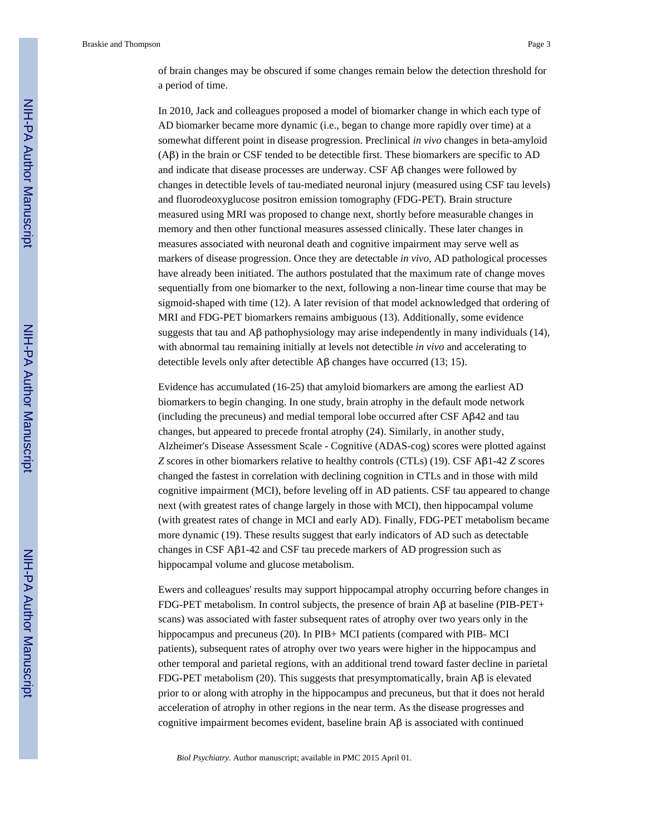of brain changes may be obscured if some changes remain below the detection threshold for a period of time.

In 2010, Jack and colleagues proposed a model of biomarker change in which each type of AD biomarker became more dynamic (i.e., began to change more rapidly over time) at a somewhat different point in disease progression. Preclinical *in vivo* changes in beta-amyloid (Aβ) in the brain or CSF tended to be detectible first. These biomarkers are specific to AD and indicate that disease processes are underway. CSF Aβ changes were followed by changes in detectible levels of tau-mediated neuronal injury (measured using CSF tau levels) and fluorodeoxyglucose positron emission tomography (FDG-PET). Brain structure measured using MRI was proposed to change next, shortly before measurable changes in memory and then other functional measures assessed clinically. These later changes in measures associated with neuronal death and cognitive impairment may serve well as markers of disease progression. Once they are detectable *in vivo*, AD pathological processes have already been initiated. The authors postulated that the maximum rate of change moves sequentially from one biomarker to the next, following a non-linear time course that may be sigmoid-shaped with time (12). A later revision of that model acknowledged that ordering of MRI and FDG-PET biomarkers remains ambiguous (13). Additionally, some evidence suggests that tau and  $\Delta\beta$  pathophysiology may arise independently in many individuals (14), with abnormal tau remaining initially at levels not detectible *in vivo* and accelerating to detectible levels only after detectible Aβ changes have occurred (13; 15).

Evidence has accumulated (16-25) that amyloid biomarkers are among the earliest AD biomarkers to begin changing. In one study, brain atrophy in the default mode network (including the precuneus) and medial temporal lobe occurred after CSF Aβ42 and tau changes, but appeared to precede frontal atrophy (24). Similarly, in another study, Alzheimer's Disease Assessment Scale - Cognitive (ADAS-cog) scores were plotted against *Z* scores in other biomarkers relative to healthy controls (CTLs) (19). CSF Aβ1-42 *Z* scores changed the fastest in correlation with declining cognition in CTLs and in those with mild cognitive impairment (MCI), before leveling off in AD patients. CSF tau appeared to change next (with greatest rates of change largely in those with MCI), then hippocampal volume (with greatest rates of change in MCI and early AD). Finally, FDG-PET metabolism became more dynamic (19). These results suggest that early indicators of AD such as detectable changes in CSF Aβ1-42 and CSF tau precede markers of AD progression such as hippocampal volume and glucose metabolism.

Ewers and colleagues' results may support hippocampal atrophy occurring before changes in FDG-PET metabolism. In control subjects, the presence of brain Aβ at baseline (PIB-PET+ scans) was associated with faster subsequent rates of atrophy over two years only in the hippocampus and precuneus (20). In PIB+ MCI patients (compared with PIB- MCI patients), subsequent rates of atrophy over two years were higher in the hippocampus and other temporal and parietal regions, with an additional trend toward faster decline in parietal FDG-PET metabolism (20). This suggests that presymptomatically, brain Aβ is elevated prior to or along with atrophy in the hippocampus and precuneus, but that it does not herald acceleration of atrophy in other regions in the near term. As the disease progresses and cognitive impairment becomes evident, baseline brain Aβ is associated with continued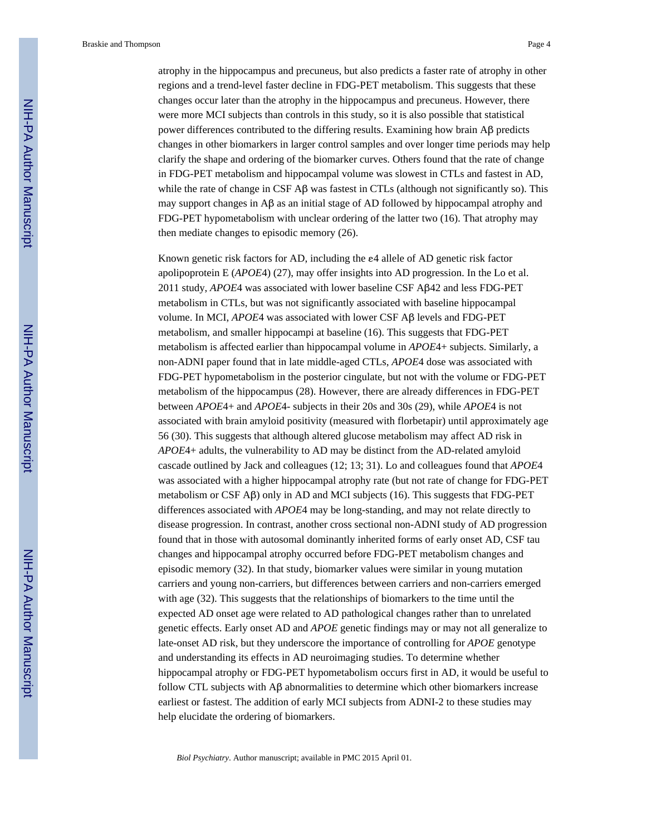atrophy in the hippocampus and precuneus, but also predicts a faster rate of atrophy in other regions and a trend-level faster decline in FDG-PET metabolism. This suggests that these changes occur later than the atrophy in the hippocampus and precuneus. However, there were more MCI subjects than controls in this study, so it is also possible that statistical power differences contributed to the differing results. Examining how brain Aβ predicts changes in other biomarkers in larger control samples and over longer time periods may help clarify the shape and ordering of the biomarker curves. Others found that the rate of change in FDG-PET metabolism and hippocampal volume was slowest in CTLs and fastest in AD, while the rate of change in CSF Aβ was fastest in CTLs (although not significantly so). This may support changes in Aβ as an initial stage of AD followed by hippocampal atrophy and FDG-PET hypometabolism with unclear ordering of the latter two (16). That atrophy may then mediate changes to episodic memory (26).

Known genetic risk factors for AD, including the ε4 allele of AD genetic risk factor apolipoprotein E (*APOE*4) (27), may offer insights into AD progression. In the Lo et al. 2011 study, *APOE*4 was associated with lower baseline CSF Aβ42 and less FDG-PET metabolism in CTLs, but was not significantly associated with baseline hippocampal volume. In MCI, *APOE*4 was associated with lower CSF Aβ levels and FDG-PET metabolism, and smaller hippocampi at baseline (16). This suggests that FDG-PET metabolism is affected earlier than hippocampal volume in *APOE*4+ subjects. Similarly, a non-ADNI paper found that in late middle-aged CTLs, *APOE*4 dose was associated with FDG-PET hypometabolism in the posterior cingulate, but not with the volume or FDG-PET metabolism of the hippocampus (28). However, there are already differences in FDG-PET between *APOE*4+ and *APOE*4- subjects in their 20s and 30s (29), while *APOE*4 is not associated with brain amyloid positivity (measured with florbetapir) until approximately age 56 (30). This suggests that although altered glucose metabolism may affect AD risk in *APOE*4+ adults, the vulnerability to AD may be distinct from the AD-related amyloid cascade outlined by Jack and colleagues (12; 13; 31). Lo and colleagues found that *APOE*4 was associated with a higher hippocampal atrophy rate (but not rate of change for FDG-PET metabolism or CSF Aβ) only in AD and MCI subjects (16). This suggests that FDG-PET differences associated with *APOE*4 may be long-standing, and may not relate directly to disease progression. In contrast, another cross sectional non-ADNI study of AD progression found that in those with autosomal dominantly inherited forms of early onset AD, CSF tau changes and hippocampal atrophy occurred before FDG-PET metabolism changes and episodic memory (32). In that study, biomarker values were similar in young mutation carriers and young non-carriers, but differences between carriers and non-carriers emerged with age (32). This suggests that the relationships of biomarkers to the time until the expected AD onset age were related to AD pathological changes rather than to unrelated genetic effects. Early onset AD and *APOE* genetic findings may or may not all generalize to late-onset AD risk, but they underscore the importance of controlling for *APOE* genotype and understanding its effects in AD neuroimaging studies. To determine whether hippocampal atrophy or FDG-PET hypometabolism occurs first in AD, it would be useful to follow CTL subjects with  $\mathbf{A}\beta$  abnormalities to determine which other biomarkers increase earliest or fastest. The addition of early MCI subjects from ADNI-2 to these studies may help elucidate the ordering of biomarkers.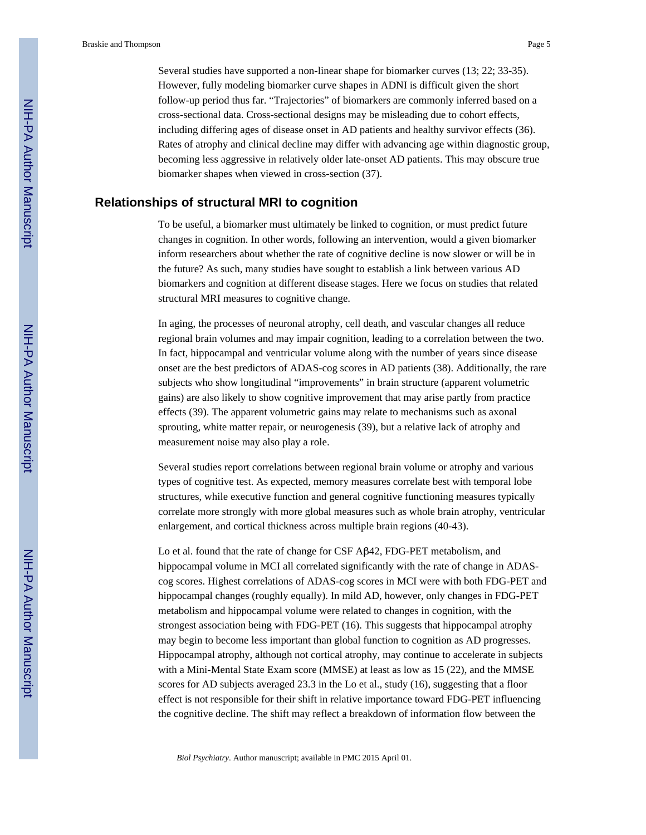Several studies have supported a non-linear shape for biomarker curves (13; 22; 33-35). However, fully modeling biomarker curve shapes in ADNI is difficult given the short follow-up period thus far. "Trajectories" of biomarkers are commonly inferred based on a cross-sectional data. Cross-sectional designs may be misleading due to cohort effects, including differing ages of disease onset in AD patients and healthy survivor effects (36). Rates of atrophy and clinical decline may differ with advancing age within diagnostic group, becoming less aggressive in relatively older late-onset AD patients. This may obscure true biomarker shapes when viewed in cross-section (37).

#### **Relationships of structural MRI to cognition**

To be useful, a biomarker must ultimately be linked to cognition, or must predict future changes in cognition. In other words, following an intervention, would a given biomarker inform researchers about whether the rate of cognitive decline is now slower or will be in the future? As such, many studies have sought to establish a link between various AD biomarkers and cognition at different disease stages. Here we focus on studies that related structural MRI measures to cognitive change.

In aging, the processes of neuronal atrophy, cell death, and vascular changes all reduce regional brain volumes and may impair cognition, leading to a correlation between the two. In fact, hippocampal and ventricular volume along with the number of years since disease onset are the best predictors of ADAS-cog scores in AD patients (38). Additionally, the rare subjects who show longitudinal "improvements" in brain structure (apparent volumetric gains) are also likely to show cognitive improvement that may arise partly from practice effects (39). The apparent volumetric gains may relate to mechanisms such as axonal sprouting, white matter repair, or neurogenesis (39), but a relative lack of atrophy and measurement noise may also play a role.

Several studies report correlations between regional brain volume or atrophy and various types of cognitive test. As expected, memory measures correlate best with temporal lobe structures, while executive function and general cognitive functioning measures typically correlate more strongly with more global measures such as whole brain atrophy, ventricular enlargement, and cortical thickness across multiple brain regions (40-43).

Lo et al. found that the rate of change for CSF Aβ42, FDG-PET metabolism, and hippocampal volume in MCI all correlated significantly with the rate of change in ADAScog scores. Highest correlations of ADAS-cog scores in MCI were with both FDG-PET and hippocampal changes (roughly equally). In mild AD, however, only changes in FDG-PET metabolism and hippocampal volume were related to changes in cognition, with the strongest association being with FDG-PET (16). This suggests that hippocampal atrophy may begin to become less important than global function to cognition as AD progresses. Hippocampal atrophy, although not cortical atrophy, may continue to accelerate in subjects with a Mini-Mental State Exam score (MMSE) at least as low as 15 (22), and the MMSE scores for AD subjects averaged 23.3 in the Lo et al., study (16), suggesting that a floor effect is not responsible for their shift in relative importance toward FDG-PET influencing the cognitive decline. The shift may reflect a breakdown of information flow between the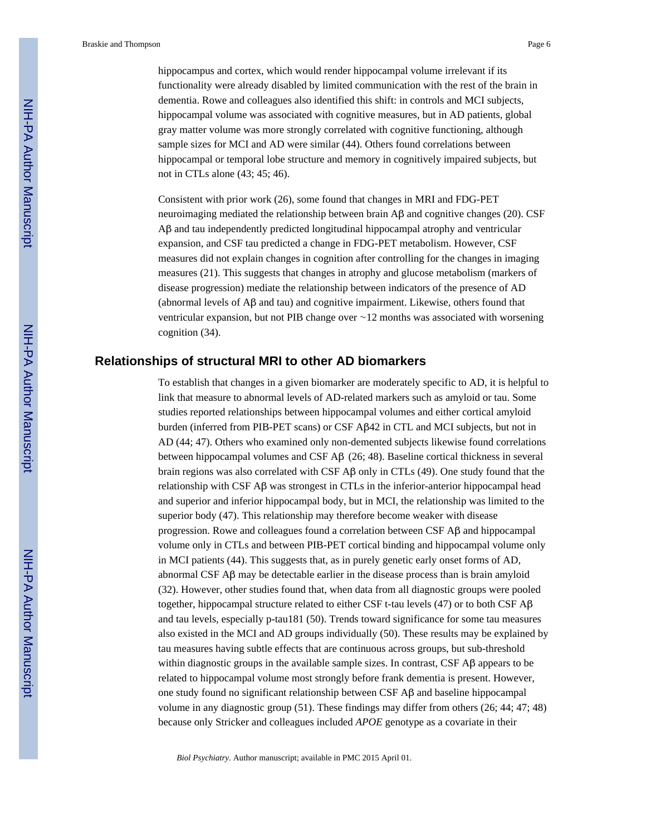hippocampus and cortex, which would render hippocampal volume irrelevant if its functionality were already disabled by limited communication with the rest of the brain in dementia. Rowe and colleagues also identified this shift: in controls and MCI subjects, hippocampal volume was associated with cognitive measures, but in AD patients, global gray matter volume was more strongly correlated with cognitive functioning, although sample sizes for MCI and AD were similar (44). Others found correlations between hippocampal or temporal lobe structure and memory in cognitively impaired subjects, but not in CTLs alone (43; 45; 46).

Consistent with prior work (26), some found that changes in MRI and FDG-PET neuroimaging mediated the relationship between brain Aβ and cognitive changes (20). CSF Aβ and tau independently predicted longitudinal hippocampal atrophy and ventricular expansion, and CSF tau predicted a change in FDG-PET metabolism. However, CSF measures did not explain changes in cognition after controlling for the changes in imaging measures (21). This suggests that changes in atrophy and glucose metabolism (markers of disease progression) mediate the relationship between indicators of the presence of AD (abnormal levels of Aβ and tau) and cognitive impairment. Likewise, others found that ventricular expansion, but not PIB change over ∼12 months was associated with worsening cognition (34).

#### **Relationships of structural MRI to other AD biomarkers**

To establish that changes in a given biomarker are moderately specific to AD, it is helpful to link that measure to abnormal levels of AD-related markers such as amyloid or tau. Some studies reported relationships between hippocampal volumes and either cortical amyloid burden (inferred from PIB-PET scans) or CSF Aβ42 in CTL and MCI subjects, but not in AD (44; 47). Others who examined only non-demented subjects likewise found correlations between hippocampal volumes and CSF Aβ (26; 48). Baseline cortical thickness in several brain regions was also correlated with CSF Aβ only in CTLs (49). One study found that the relationship with CSF Aβ was strongest in CTLs in the inferior-anterior hippocampal head and superior and inferior hippocampal body, but in MCI, the relationship was limited to the superior body (47). This relationship may therefore become weaker with disease progression. Rowe and colleagues found a correlation between CSF Aβ and hippocampal volume only in CTLs and between PIB-PET cortical binding and hippocampal volume only in MCI patients (44). This suggests that, as in purely genetic early onset forms of AD, abnormal CSF Aβ may be detectable earlier in the disease process than is brain amyloid (32). However, other studies found that, when data from all diagnostic groups were pooled together, hippocampal structure related to either CSF t-tau levels (47) or to both CSF Aβ and tau levels, especially p-tau181 (50). Trends toward significance for some tau measures also existed in the MCI and AD groups individually (50). These results may be explained by tau measures having subtle effects that are continuous across groups, but sub-threshold within diagnostic groups in the available sample sizes. In contrast, CSF Aβ appears to be related to hippocampal volume most strongly before frank dementia is present. However, one study found no significant relationship between CSF Aβ and baseline hippocampal volume in any diagnostic group (51). These findings may differ from others (26; 44; 47; 48) because only Stricker and colleagues included *APOE* genotype as a covariate in their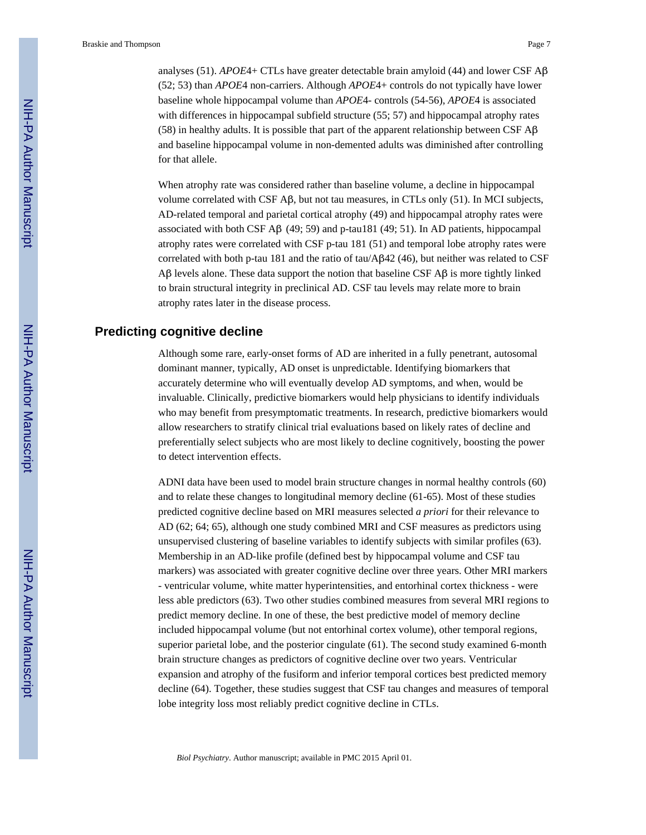analyses (51). *APOE*4+ CTLs have greater detectable brain amyloid (44) and lower CSF Aβ (52; 53) than *APOE*4 non-carriers. Although *APOE*4+ controls do not typically have lower baseline whole hippocampal volume than *APOE*4- controls (54-56), *APOE*4 is associated with differences in hippocampal subfield structure (55; 57) and hippocampal atrophy rates (58) in healthy adults. It is possible that part of the apparent relationship between CSF  $\overrightarrow{AB}$ and baseline hippocampal volume in non-demented adults was diminished after controlling for that allele.

When atrophy rate was considered rather than baseline volume, a decline in hippocampal volume correlated with CSF Aβ, but not tau measures, in CTLs only (51). In MCI subjects, AD-related temporal and parietal cortical atrophy (49) and hippocampal atrophy rates were associated with both CSF A $\beta$  (49; 59) and p-tau181 (49; 51). In AD patients, hippocampal atrophy rates were correlated with CSF p-tau 181 (51) and temporal lobe atrophy rates were correlated with both p-tau 181 and the ratio of tau/Aβ42 (46), but neither was related to CSF Aβ levels alone. These data support the notion that baseline CSF Aβ is more tightly linked to brain structural integrity in preclinical AD. CSF tau levels may relate more to brain atrophy rates later in the disease process.

#### **Predicting cognitive decline**

Although some rare, early-onset forms of AD are inherited in a fully penetrant, autosomal dominant manner, typically, AD onset is unpredictable. Identifying biomarkers that accurately determine who will eventually develop AD symptoms, and when, would be invaluable. Clinically, predictive biomarkers would help physicians to identify individuals who may benefit from presymptomatic treatments. In research, predictive biomarkers would allow researchers to stratify clinical trial evaluations based on likely rates of decline and preferentially select subjects who are most likely to decline cognitively, boosting the power to detect intervention effects.

ADNI data have been used to model brain structure changes in normal healthy controls (60) and to relate these changes to longitudinal memory decline (61-65). Most of these studies predicted cognitive decline based on MRI measures selected *a priori* for their relevance to AD (62; 64; 65), although one study combined MRI and CSF measures as predictors using unsupervised clustering of baseline variables to identify subjects with similar profiles (63). Membership in an AD-like profile (defined best by hippocampal volume and CSF tau markers) was associated with greater cognitive decline over three years. Other MRI markers - ventricular volume, white matter hyperintensities, and entorhinal cortex thickness - were less able predictors (63). Two other studies combined measures from several MRI regions to predict memory decline. In one of these, the best predictive model of memory decline included hippocampal volume (but not entorhinal cortex volume), other temporal regions, superior parietal lobe, and the posterior cingulate (61). The second study examined 6-month brain structure changes as predictors of cognitive decline over two years. Ventricular expansion and atrophy of the fusiform and inferior temporal cortices best predicted memory decline (64). Together, these studies suggest that CSF tau changes and measures of temporal lobe integrity loss most reliably predict cognitive decline in CTLs.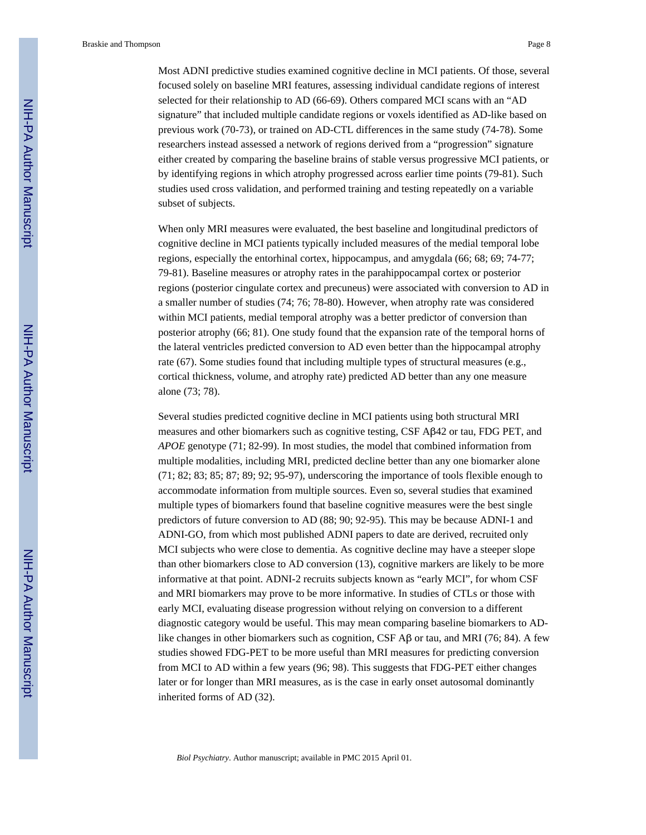Most ADNI predictive studies examined cognitive decline in MCI patients. Of those, several focused solely on baseline MRI features, assessing individual candidate regions of interest selected for their relationship to AD (66-69). Others compared MCI scans with an "AD signature" that included multiple candidate regions or voxels identified as AD-like based on previous work (70-73), or trained on AD-CTL differences in the same study (74-78). Some researchers instead assessed a network of regions derived from a "progression" signature either created by comparing the baseline brains of stable versus progressive MCI patients, or by identifying regions in which atrophy progressed across earlier time points (79-81). Such studies used cross validation, and performed training and testing repeatedly on a variable subset of subjects.

When only MRI measures were evaluated, the best baseline and longitudinal predictors of cognitive decline in MCI patients typically included measures of the medial temporal lobe regions, especially the entorhinal cortex, hippocampus, and amygdala (66; 68; 69; 74-77; 79-81). Baseline measures or atrophy rates in the parahippocampal cortex or posterior regions (posterior cingulate cortex and precuneus) were associated with conversion to AD in a smaller number of studies (74; 76; 78-80). However, when atrophy rate was considered within MCI patients, medial temporal atrophy was a better predictor of conversion than posterior atrophy (66; 81). One study found that the expansion rate of the temporal horns of the lateral ventricles predicted conversion to AD even better than the hippocampal atrophy rate (67). Some studies found that including multiple types of structural measures (e.g., cortical thickness, volume, and atrophy rate) predicted AD better than any one measure alone (73; 78).

Several studies predicted cognitive decline in MCI patients using both structural MRI measures and other biomarkers such as cognitive testing, CSF Aβ42 or tau, FDG PET, and *APOE* genotype (71; 82-99). In most studies, the model that combined information from multiple modalities, including MRI, predicted decline better than any one biomarker alone (71; 82; 83; 85; 87; 89; 92; 95-97), underscoring the importance of tools flexible enough to accommodate information from multiple sources. Even so, several studies that examined multiple types of biomarkers found that baseline cognitive measures were the best single predictors of future conversion to AD (88; 90; 92-95). This may be because ADNI-1 and ADNI-GO, from which most published ADNI papers to date are derived, recruited only MCI subjects who were close to dementia. As cognitive decline may have a steeper slope than other biomarkers close to AD conversion (13), cognitive markers are likely to be more informative at that point. ADNI-2 recruits subjects known as "early MCI", for whom CSF and MRI biomarkers may prove to be more informative. In studies of CTLs or those with early MCI, evaluating disease progression without relying on conversion to a different diagnostic category would be useful. This may mean comparing baseline biomarkers to ADlike changes in other biomarkers such as cognition, CSF Aβ or tau, and MRI (76; 84). A few studies showed FDG-PET to be more useful than MRI measures for predicting conversion from MCI to AD within a few years (96; 98). This suggests that FDG-PET either changes later or for longer than MRI measures, as is the case in early onset autosomal dominantly inherited forms of AD (32).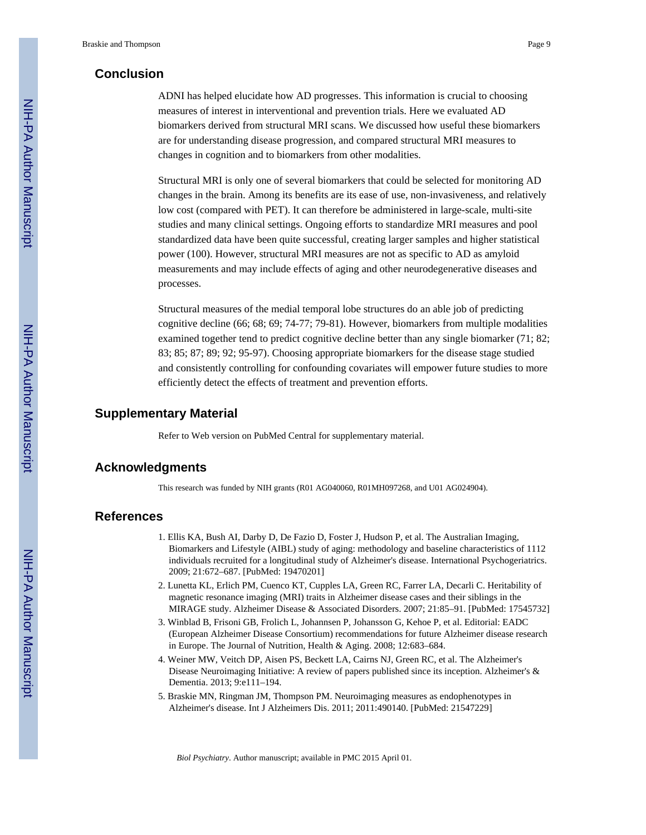# **Conclusion**

ADNI has helped elucidate how AD progresses. This information is crucial to choosing measures of interest in interventional and prevention trials. Here we evaluated AD biomarkers derived from structural MRI scans. We discussed how useful these biomarkers are for understanding disease progression, and compared structural MRI measures to changes in cognition and to biomarkers from other modalities.

Structural MRI is only one of several biomarkers that could be selected for monitoring AD changes in the brain. Among its benefits are its ease of use, non-invasiveness, and relatively low cost (compared with PET). It can therefore be administered in large-scale, multi-site studies and many clinical settings. Ongoing efforts to standardize MRI measures and pool standardized data have been quite successful, creating larger samples and higher statistical power (100). However, structural MRI measures are not as specific to AD as amyloid measurements and may include effects of aging and other neurodegenerative diseases and processes.

Structural measures of the medial temporal lobe structures do an able job of predicting cognitive decline (66; 68; 69; 74-77; 79-81). However, biomarkers from multiple modalities examined together tend to predict cognitive decline better than any single biomarker (71; 82; 83; 85; 87; 89; 92; 95-97). Choosing appropriate biomarkers for the disease stage studied and consistently controlling for confounding covariates will empower future studies to more efficiently detect the effects of treatment and prevention efforts.

#### **Supplementary Material**

Refer to Web version on PubMed Central for supplementary material.

#### **Acknowledgments**

This research was funded by NIH grants (R01 AG040060, R01MH097268, and U01 AG024904).

# **References**

- 1. Ellis KA, Bush AI, Darby D, De Fazio D, Foster J, Hudson P, et al. The Australian Imaging, Biomarkers and Lifestyle (AIBL) study of aging: methodology and baseline characteristics of 1112 individuals recruited for a longitudinal study of Alzheimer's disease. International Psychogeriatrics. 2009; 21:672–687. [PubMed: 19470201]
- 2. Lunetta KL, Erlich PM, Cuenco KT, Cupples LA, Green RC, Farrer LA, Decarli C. Heritability of magnetic resonance imaging (MRI) traits in Alzheimer disease cases and their siblings in the MIRAGE study. Alzheimer Disease & Associated Disorders. 2007; 21:85–91. [PubMed: 17545732]
- 3. Winblad B, Frisoni GB, Frolich L, Johannsen P, Johansson G, Kehoe P, et al. Editorial: EADC (European Alzheimer Disease Consortium) recommendations for future Alzheimer disease research in Europe. The Journal of Nutrition, Health & Aging. 2008; 12:683–684.
- 4. Weiner MW, Veitch DP, Aisen PS, Beckett LA, Cairns NJ, Green RC, et al. The Alzheimer's Disease Neuroimaging Initiative: A review of papers published since its inception. Alzheimer's & Dementia. 2013; 9:e111–194.
- 5. Braskie MN, Ringman JM, Thompson PM. Neuroimaging measures as endophenotypes in Alzheimer's disease. Int J Alzheimers Dis. 2011; 2011:490140. [PubMed: 21547229]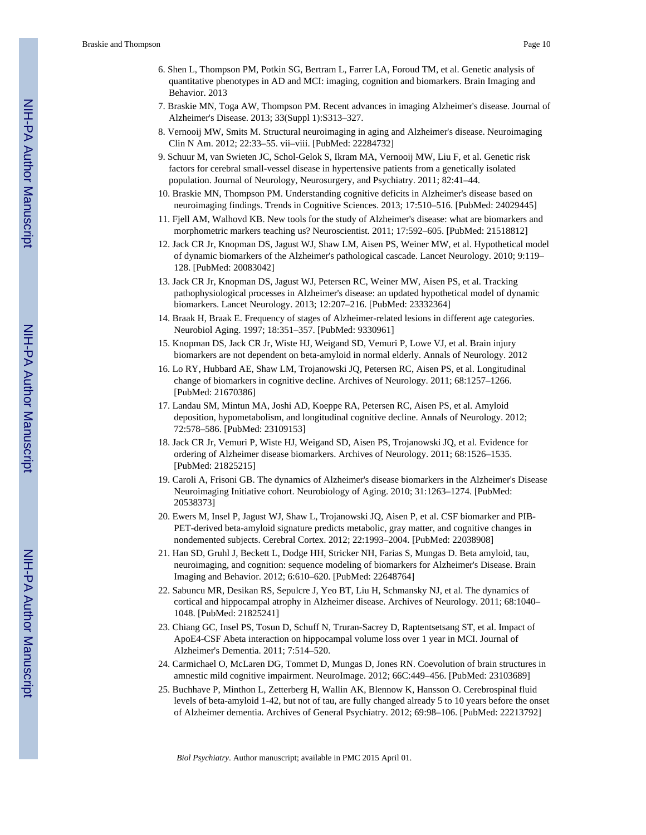- 6. Shen L, Thompson PM, Potkin SG, Bertram L, Farrer LA, Foroud TM, et al. Genetic analysis of quantitative phenotypes in AD and MCI: imaging, cognition and biomarkers. Brain Imaging and Behavior. 2013
- 7. Braskie MN, Toga AW, Thompson PM. Recent advances in imaging Alzheimer's disease. Journal of Alzheimer's Disease. 2013; 33(Suppl 1):S313–327.
- 8. Vernooij MW, Smits M. Structural neuroimaging in aging and Alzheimer's disease. Neuroimaging Clin N Am. 2012; 22:33–55. vii–viii. [PubMed: 22284732]
- 9. Schuur M, van Swieten JC, Schol-Gelok S, Ikram MA, Vernooij MW, Liu F, et al. Genetic risk factors for cerebral small-vessel disease in hypertensive patients from a genetically isolated population. Journal of Neurology, Neurosurgery, and Psychiatry. 2011; 82:41–44.
- 10. Braskie MN, Thompson PM. Understanding cognitive deficits in Alzheimer's disease based on neuroimaging findings. Trends in Cognitive Sciences. 2013; 17:510–516. [PubMed: 24029445]
- 11. Fjell AM, Walhovd KB. New tools for the study of Alzheimer's disease: what are biomarkers and morphometric markers teaching us? Neuroscientist. 2011; 17:592–605. [PubMed: 21518812]
- 12. Jack CR Jr, Knopman DS, Jagust WJ, Shaw LM, Aisen PS, Weiner MW, et al. Hypothetical model of dynamic biomarkers of the Alzheimer's pathological cascade. Lancet Neurology. 2010; 9:119– 128. [PubMed: 20083042]
- 13. Jack CR Jr, Knopman DS, Jagust WJ, Petersen RC, Weiner MW, Aisen PS, et al. Tracking pathophysiological processes in Alzheimer's disease: an updated hypothetical model of dynamic biomarkers. Lancet Neurology. 2013; 12:207–216. [PubMed: 23332364]
- 14. Braak H, Braak E. Frequency of stages of Alzheimer-related lesions in different age categories. Neurobiol Aging. 1997; 18:351–357. [PubMed: 9330961]
- 15. Knopman DS, Jack CR Jr, Wiste HJ, Weigand SD, Vemuri P, Lowe VJ, et al. Brain injury biomarkers are not dependent on beta-amyloid in normal elderly. Annals of Neurology. 2012
- 16. Lo RY, Hubbard AE, Shaw LM, Trojanowski JQ, Petersen RC, Aisen PS, et al. Longitudinal change of biomarkers in cognitive decline. Archives of Neurology. 2011; 68:1257–1266. [PubMed: 21670386]
- 17. Landau SM, Mintun MA, Joshi AD, Koeppe RA, Petersen RC, Aisen PS, et al. Amyloid deposition, hypometabolism, and longitudinal cognitive decline. Annals of Neurology. 2012; 72:578–586. [PubMed: 23109153]
- 18. Jack CR Jr, Vemuri P, Wiste HJ, Weigand SD, Aisen PS, Trojanowski JQ, et al. Evidence for ordering of Alzheimer disease biomarkers. Archives of Neurology. 2011; 68:1526–1535. [PubMed: 21825215]
- 19. Caroli A, Frisoni GB. The dynamics of Alzheimer's disease biomarkers in the Alzheimer's Disease Neuroimaging Initiative cohort. Neurobiology of Aging. 2010; 31:1263–1274. [PubMed: 20538373]
- 20. Ewers M, Insel P, Jagust WJ, Shaw L, Trojanowski JQ, Aisen P, et al. CSF biomarker and PIB-PET-derived beta-amyloid signature predicts metabolic, gray matter, and cognitive changes in nondemented subjects. Cerebral Cortex. 2012; 22:1993–2004. [PubMed: 22038908]
- 21. Han SD, Gruhl J, Beckett L, Dodge HH, Stricker NH, Farias S, Mungas D. Beta amyloid, tau, neuroimaging, and cognition: sequence modeling of biomarkers for Alzheimer's Disease. Brain Imaging and Behavior. 2012; 6:610–620. [PubMed: 22648764]
- 22. Sabuncu MR, Desikan RS, Sepulcre J, Yeo BT, Liu H, Schmansky NJ, et al. The dynamics of cortical and hippocampal atrophy in Alzheimer disease. Archives of Neurology. 2011; 68:1040– 1048. [PubMed: 21825241]
- 23. Chiang GC, Insel PS, Tosun D, Schuff N, Truran-Sacrey D, Raptentsetsang ST, et al. Impact of ApoE4-CSF Abeta interaction on hippocampal volume loss over 1 year in MCI. Journal of Alzheimer's Dementia. 2011; 7:514–520.
- 24. Carmichael O, McLaren DG, Tommet D, Mungas D, Jones RN. Coevolution of brain structures in amnestic mild cognitive impairment. NeuroImage. 2012; 66C:449–456. [PubMed: 23103689]
- 25. Buchhave P, Minthon L, Zetterberg H, Wallin AK, Blennow K, Hansson O. Cerebrospinal fluid levels of beta-amyloid 1-42, but not of tau, are fully changed already 5 to 10 years before the onset of Alzheimer dementia. Archives of General Psychiatry. 2012; 69:98–106. [PubMed: 22213792]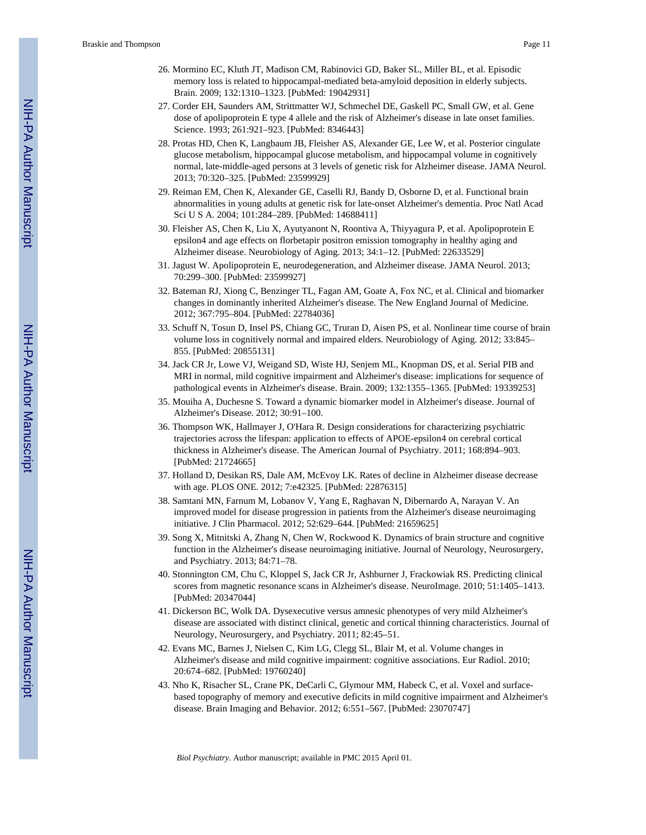- 26. Mormino EC, Kluth JT, Madison CM, Rabinovici GD, Baker SL, Miller BL, et al. Episodic memory loss is related to hippocampal-mediated beta-amyloid deposition in elderly subjects. Brain. 2009; 132:1310–1323. [PubMed: 19042931]
- 27. Corder EH, Saunders AM, Strittmatter WJ, Schmechel DE, Gaskell PC, Small GW, et al. Gene dose of apolipoprotein E type 4 allele and the risk of Alzheimer's disease in late onset families. Science. 1993; 261:921–923. [PubMed: 8346443]
- 28. Protas HD, Chen K, Langbaum JB, Fleisher AS, Alexander GE, Lee W, et al. Posterior cingulate glucose metabolism, hippocampal glucose metabolism, and hippocampal volume in cognitively normal, late-middle-aged persons at 3 levels of genetic risk for Alzheimer disease. JAMA Neurol. 2013; 70:320–325. [PubMed: 23599929]
- 29. Reiman EM, Chen K, Alexander GE, Caselli RJ, Bandy D, Osborne D, et al. Functional brain abnormalities in young adults at genetic risk for late-onset Alzheimer's dementia. Proc Natl Acad Sci U S A. 2004; 101:284–289. [PubMed: 14688411]
- 30. Fleisher AS, Chen K, Liu X, Ayutyanont N, Roontiva A, Thiyyagura P, et al. Apolipoprotein E epsilon4 and age effects on florbetapir positron emission tomography in healthy aging and Alzheimer disease. Neurobiology of Aging. 2013; 34:1–12. [PubMed: 22633529]
- 31. Jagust W. Apolipoprotein E, neurodegeneration, and Alzheimer disease. JAMA Neurol. 2013; 70:299–300. [PubMed: 23599927]
- 32. Bateman RJ, Xiong C, Benzinger TL, Fagan AM, Goate A, Fox NC, et al. Clinical and biomarker changes in dominantly inherited Alzheimer's disease. The New England Journal of Medicine. 2012; 367:795–804. [PubMed: 22784036]
- 33. Schuff N, Tosun D, Insel PS, Chiang GC, Truran D, Aisen PS, et al. Nonlinear time course of brain volume loss in cognitively normal and impaired elders. Neurobiology of Aging. 2012; 33:845– 855. [PubMed: 20855131]
- 34. Jack CR Jr, Lowe VJ, Weigand SD, Wiste HJ, Senjem ML, Knopman DS, et al. Serial PIB and MRI in normal, mild cognitive impairment and Alzheimer's disease: implications for sequence of pathological events in Alzheimer's disease. Brain. 2009; 132:1355–1365. [PubMed: 19339253]
- 35. Mouiha A, Duchesne S. Toward a dynamic biomarker model in Alzheimer's disease. Journal of Alzheimer's Disease. 2012; 30:91–100.
- 36. Thompson WK, Hallmayer J, O'Hara R. Design considerations for characterizing psychiatric trajectories across the lifespan: application to effects of APOE-epsilon4 on cerebral cortical thickness in Alzheimer's disease. The American Journal of Psychiatry. 2011; 168:894–903. [PubMed: 21724665]
- 37. Holland D, Desikan RS, Dale AM, McEvoy LK. Rates of decline in Alzheimer disease decrease with age. PLOS ONE. 2012; 7:e42325. [PubMed: 22876315]
- 38. Samtani MN, Farnum M, Lobanov V, Yang E, Raghavan N, Dibernardo A, Narayan V. An improved model for disease progression in patients from the Alzheimer's disease neuroimaging initiative. J Clin Pharmacol. 2012; 52:629–644. [PubMed: 21659625]
- 39. Song X, Mitnitski A, Zhang N, Chen W, Rockwood K. Dynamics of brain structure and cognitive function in the Alzheimer's disease neuroimaging initiative. Journal of Neurology, Neurosurgery, and Psychiatry. 2013; 84:71–78.
- 40. Stonnington CM, Chu C, Kloppel S, Jack CR Jr, Ashburner J, Frackowiak RS. Predicting clinical scores from magnetic resonance scans in Alzheimer's disease. NeuroImage. 2010; 51:1405–1413. [PubMed: 20347044]
- 41. Dickerson BC, Wolk DA. Dysexecutive versus amnesic phenotypes of very mild Alzheimer's disease are associated with distinct clinical, genetic and cortical thinning characteristics. Journal of Neurology, Neurosurgery, and Psychiatry. 2011; 82:45–51.
- 42. Evans MC, Barnes J, Nielsen C, Kim LG, Clegg SL, Blair M, et al. Volume changes in Alzheimer's disease and mild cognitive impairment: cognitive associations. Eur Radiol. 2010; 20:674–682. [PubMed: 19760240]
- 43. Nho K, Risacher SL, Crane PK, DeCarli C, Glymour MM, Habeck C, et al. Voxel and surfacebased topography of memory and executive deficits in mild cognitive impairment and Alzheimer's disease. Brain Imaging and Behavior. 2012; 6:551–567. [PubMed: 23070747]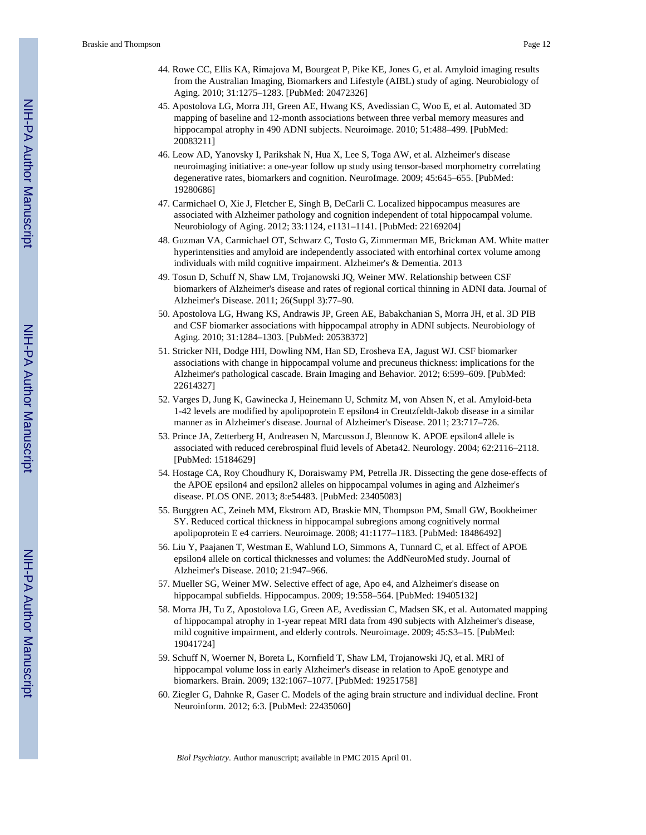- 44. Rowe CC, Ellis KA, Rimajova M, Bourgeat P, Pike KE, Jones G, et al. Amyloid imaging results from the Australian Imaging, Biomarkers and Lifestyle (AIBL) study of aging. Neurobiology of Aging. 2010; 31:1275–1283. [PubMed: 20472326]
- 45. Apostolova LG, Morra JH, Green AE, Hwang KS, Avedissian C, Woo E, et al. Automated 3D mapping of baseline and 12-month associations between three verbal memory measures and hippocampal atrophy in 490 ADNI subjects. Neuroimage. 2010; 51:488–499. [PubMed: 20083211]
- 46. Leow AD, Yanovsky I, Parikshak N, Hua X, Lee S, Toga AW, et al. Alzheimer's disease neuroimaging initiative: a one-year follow up study using tensor-based morphometry correlating degenerative rates, biomarkers and cognition. NeuroImage. 2009; 45:645–655. [PubMed: 19280686]
- 47. Carmichael O, Xie J, Fletcher E, Singh B, DeCarli C. Localized hippocampus measures are associated with Alzheimer pathology and cognition independent of total hippocampal volume. Neurobiology of Aging. 2012; 33:1124, e1131–1141. [PubMed: 22169204]
- 48. Guzman VA, Carmichael OT, Schwarz C, Tosto G, Zimmerman ME, Brickman AM. White matter hyperintensities and amyloid are independently associated with entorhinal cortex volume among individuals with mild cognitive impairment. Alzheimer's & Dementia. 2013
- 49. Tosun D, Schuff N, Shaw LM, Trojanowski JQ, Weiner MW. Relationship between CSF biomarkers of Alzheimer's disease and rates of regional cortical thinning in ADNI data. Journal of Alzheimer's Disease. 2011; 26(Suppl 3):77–90.
- 50. Apostolova LG, Hwang KS, Andrawis JP, Green AE, Babakchanian S, Morra JH, et al. 3D PIB and CSF biomarker associations with hippocampal atrophy in ADNI subjects. Neurobiology of Aging. 2010; 31:1284–1303. [PubMed: 20538372]
- 51. Stricker NH, Dodge HH, Dowling NM, Han SD, Erosheva EA, Jagust WJ. CSF biomarker associations with change in hippocampal volume and precuneus thickness: implications for the Alzheimer's pathological cascade. Brain Imaging and Behavior. 2012; 6:599–609. [PubMed: 22614327]
- 52. Varges D, Jung K, Gawinecka J, Heinemann U, Schmitz M, von Ahsen N, et al. Amyloid-beta 1-42 levels are modified by apolipoprotein E epsilon4 in Creutzfeldt-Jakob disease in a similar manner as in Alzheimer's disease. Journal of Alzheimer's Disease. 2011; 23:717–726.
- 53. Prince JA, Zetterberg H, Andreasen N, Marcusson J, Blennow K. APOE epsilon4 allele is associated with reduced cerebrospinal fluid levels of Abeta42. Neurology. 2004; 62:2116–2118. [PubMed: 15184629]
- 54. Hostage CA, Roy Choudhury K, Doraiswamy PM, Petrella JR. Dissecting the gene dose-effects of the APOE epsilon4 and epsilon2 alleles on hippocampal volumes in aging and Alzheimer's disease. PLOS ONE. 2013; 8:e54483. [PubMed: 23405083]
- 55. Burggren AC, Zeineh MM, Ekstrom AD, Braskie MN, Thompson PM, Small GW, Bookheimer SY. Reduced cortical thickness in hippocampal subregions among cognitively normal apolipoprotein E e4 carriers. Neuroimage. 2008; 41:1177–1183. [PubMed: 18486492]
- 56. Liu Y, Paajanen T, Westman E, Wahlund LO, Simmons A, Tunnard C, et al. Effect of APOE epsilon4 allele on cortical thicknesses and volumes: the AddNeuroMed study. Journal of Alzheimer's Disease. 2010; 21:947–966.
- 57. Mueller SG, Weiner MW. Selective effect of age, Apo e4, and Alzheimer's disease on hippocampal subfields. Hippocampus. 2009; 19:558–564. [PubMed: 19405132]
- 58. Morra JH, Tu Z, Apostolova LG, Green AE, Avedissian C, Madsen SK, et al. Automated mapping of hippocampal atrophy in 1-year repeat MRI data from 490 subjects with Alzheimer's disease, mild cognitive impairment, and elderly controls. Neuroimage. 2009; 45:S3–15. [PubMed: 19041724]
- 59. Schuff N, Woerner N, Boreta L, Kornfield T, Shaw LM, Trojanowski JQ, et al. MRI of hippocampal volume loss in early Alzheimer's disease in relation to ApoE genotype and biomarkers. Brain. 2009; 132:1067–1077. [PubMed: 19251758]
- 60. Ziegler G, Dahnke R, Gaser C. Models of the aging brain structure and individual decline. Front Neuroinform. 2012; 6:3. [PubMed: 22435060]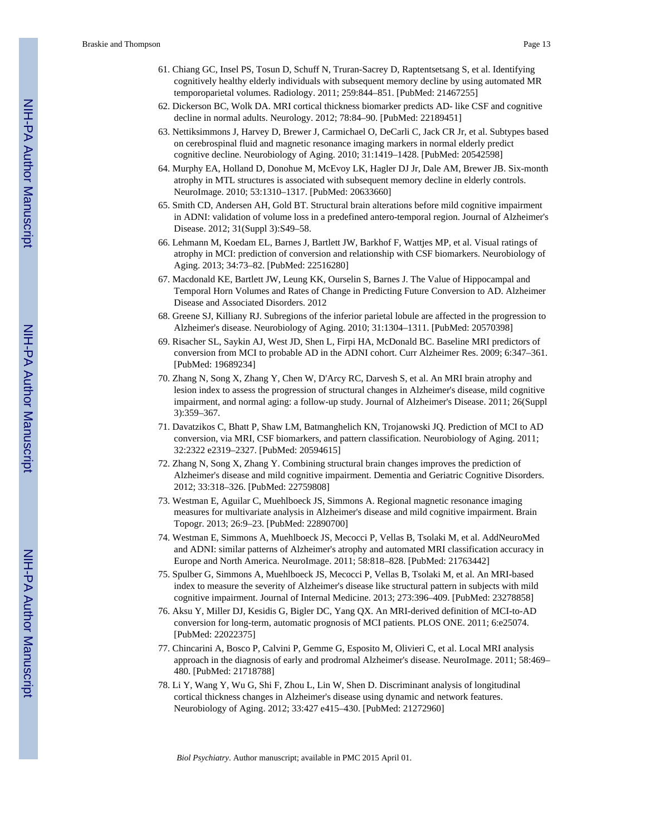- 61. Chiang GC, Insel PS, Tosun D, Schuff N, Truran-Sacrey D, Raptentsetsang S, et al. Identifying cognitively healthy elderly individuals with subsequent memory decline by using automated MR temporoparietal volumes. Radiology. 2011; 259:844–851. [PubMed: 21467255]
- 62. Dickerson BC, Wolk DA. MRI cortical thickness biomarker predicts AD- like CSF and cognitive decline in normal adults. Neurology. 2012; 78:84–90. [PubMed: 22189451]
- 63. Nettiksimmons J, Harvey D, Brewer J, Carmichael O, DeCarli C, Jack CR Jr, et al. Subtypes based on cerebrospinal fluid and magnetic resonance imaging markers in normal elderly predict cognitive decline. Neurobiology of Aging. 2010; 31:1419–1428. [PubMed: 20542598]
- 64. Murphy EA, Holland D, Donohue M, McEvoy LK, Hagler DJ Jr, Dale AM, Brewer JB. Six-month atrophy in MTL structures is associated with subsequent memory decline in elderly controls. NeuroImage. 2010; 53:1310–1317. [PubMed: 20633660]
- 65. Smith CD, Andersen AH, Gold BT. Structural brain alterations before mild cognitive impairment in ADNI: validation of volume loss in a predefined antero-temporal region. Journal of Alzheimer's Disease. 2012; 31(Suppl 3):S49–58.
- 66. Lehmann M, Koedam EL, Barnes J, Bartlett JW, Barkhof F, Wattjes MP, et al. Visual ratings of atrophy in MCI: prediction of conversion and relationship with CSF biomarkers. Neurobiology of Aging. 2013; 34:73–82. [PubMed: 22516280]
- 67. Macdonald KE, Bartlett JW, Leung KK, Ourselin S, Barnes J. The Value of Hippocampal and Temporal Horn Volumes and Rates of Change in Predicting Future Conversion to AD. Alzheimer Disease and Associated Disorders. 2012
- 68. Greene SJ, Killiany RJ. Subregions of the inferior parietal lobule are affected in the progression to Alzheimer's disease. Neurobiology of Aging. 2010; 31:1304–1311. [PubMed: 20570398]
- 69. Risacher SL, Saykin AJ, West JD, Shen L, Firpi HA, McDonald BC. Baseline MRI predictors of conversion from MCI to probable AD in the ADNI cohort. Curr Alzheimer Res. 2009; 6:347–361. [PubMed: 19689234]
- 70. Zhang N, Song X, Zhang Y, Chen W, D'Arcy RC, Darvesh S, et al. An MRI brain atrophy and lesion index to assess the progression of structural changes in Alzheimer's disease, mild cognitive impairment, and normal aging: a follow-up study. Journal of Alzheimer's Disease. 2011; 26(Suppl 3):359–367.
- 71. Davatzikos C, Bhatt P, Shaw LM, Batmanghelich KN, Trojanowski JQ. Prediction of MCI to AD conversion, via MRI, CSF biomarkers, and pattern classification. Neurobiology of Aging. 2011; 32:2322 e2319–2327. [PubMed: 20594615]
- 72. Zhang N, Song X, Zhang Y. Combining structural brain changes improves the prediction of Alzheimer's disease and mild cognitive impairment. Dementia and Geriatric Cognitive Disorders. 2012; 33:318–326. [PubMed: 22759808]
- 73. Westman E, Aguilar C, Muehlboeck JS, Simmons A. Regional magnetic resonance imaging measures for multivariate analysis in Alzheimer's disease and mild cognitive impairment. Brain Topogr. 2013; 26:9–23. [PubMed: 22890700]
- 74. Westman E, Simmons A, Muehlboeck JS, Mecocci P, Vellas B, Tsolaki M, et al. AddNeuroMed and ADNI: similar patterns of Alzheimer's atrophy and automated MRI classification accuracy in Europe and North America. NeuroImage. 2011; 58:818–828. [PubMed: 21763442]
- 75. Spulber G, Simmons A, Muehlboeck JS, Mecocci P, Vellas B, Tsolaki M, et al. An MRI-based index to measure the severity of Alzheimer's disease like structural pattern in subjects with mild cognitive impairment. Journal of Internal Medicine. 2013; 273:396–409. [PubMed: 23278858]
- 76. Aksu Y, Miller DJ, Kesidis G, Bigler DC, Yang QX. An MRI-derived definition of MCI-to-AD conversion for long-term, automatic prognosis of MCI patients. PLOS ONE. 2011; 6:e25074. [PubMed: 22022375]
- 77. Chincarini A, Bosco P, Calvini P, Gemme G, Esposito M, Olivieri C, et al. Local MRI analysis approach in the diagnosis of early and prodromal Alzheimer's disease. NeuroImage. 2011; 58:469– 480. [PubMed: 21718788]
- 78. Li Y, Wang Y, Wu G, Shi F, Zhou L, Lin W, Shen D. Discriminant analysis of longitudinal cortical thickness changes in Alzheimer's disease using dynamic and network features. Neurobiology of Aging. 2012; 33:427 e415–430. [PubMed: 21272960]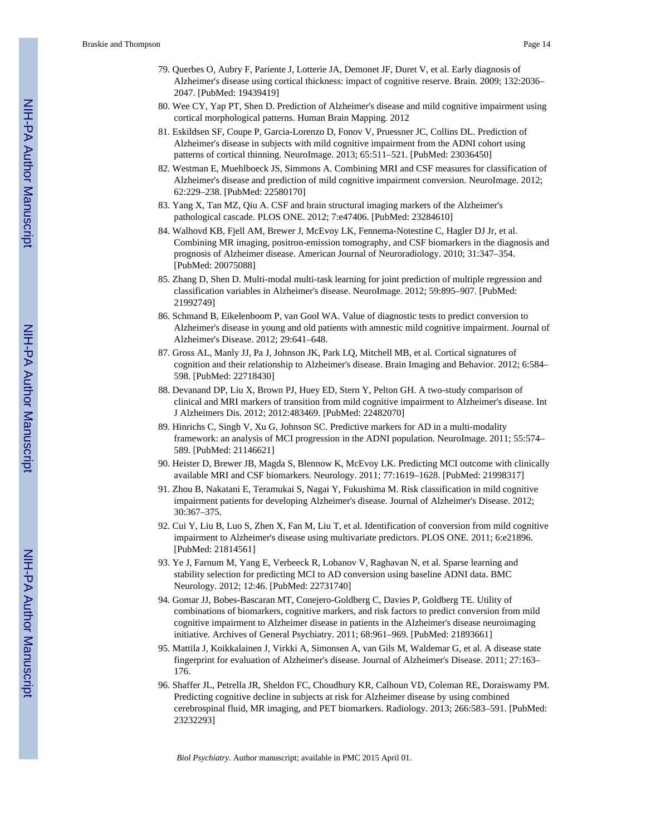- 79. Querbes O, Aubry F, Pariente J, Lotterie JA, Demonet JF, Duret V, et al. Early diagnosis of Alzheimer's disease using cortical thickness: impact of cognitive reserve. Brain. 2009; 132:2036– 2047. [PubMed: 19439419]
- 80. Wee CY, Yap PT, Shen D. Prediction of Alzheimer's disease and mild cognitive impairment using cortical morphological patterns. Human Brain Mapping. 2012
- 81. Eskildsen SF, Coupe P, Garcia-Lorenzo D, Fonov V, Pruessner JC, Collins DL. Prediction of Alzheimer's disease in subjects with mild cognitive impairment from the ADNI cohort using patterns of cortical thinning. NeuroImage. 2013; 65:511–521. [PubMed: 23036450]
- 82. Westman E, Muehlboeck JS, Simmons A. Combining MRI and CSF measures for classification of Alzheimer's disease and prediction of mild cognitive impairment conversion. NeuroImage. 2012; 62:229–238. [PubMed: 22580170]
- 83. Yang X, Tan MZ, Qiu A. CSF and brain structural imaging markers of the Alzheimer's pathological cascade. PLOS ONE. 2012; 7:e47406. [PubMed: 23284610]
- 84. Walhovd KB, Fjell AM, Brewer J, McEvoy LK, Fennema-Notestine C, Hagler DJ Jr, et al. Combining MR imaging, positron-emission tomography, and CSF biomarkers in the diagnosis and prognosis of Alzheimer disease. American Journal of Neuroradiology. 2010; 31:347–354. [PubMed: 20075088]
- 85. Zhang D, Shen D. Multi-modal multi-task learning for joint prediction of multiple regression and classification variables in Alzheimer's disease. NeuroImage. 2012; 59:895–907. [PubMed: 21992749]
- 86. Schmand B, Eikelenboom P, van Gool WA. Value of diagnostic tests to predict conversion to Alzheimer's disease in young and old patients with amnestic mild cognitive impairment. Journal of Alzheimer's Disease. 2012; 29:641–648.
- 87. Gross AL, Manly JJ, Pa J, Johnson JK, Park LQ, Mitchell MB, et al. Cortical signatures of cognition and their relationship to Alzheimer's disease. Brain Imaging and Behavior. 2012; 6:584– 598. [PubMed: 22718430]
- 88. Devanand DP, Liu X, Brown PJ, Huey ED, Stern Y, Pelton GH. A two-study comparison of clinical and MRI markers of transition from mild cognitive impairment to Alzheimer's disease. Int J Alzheimers Dis. 2012; 2012:483469. [PubMed: 22482070]
- 89. Hinrichs C, Singh V, Xu G, Johnson SC. Predictive markers for AD in a multi-modality framework: an analysis of MCI progression in the ADNI population. NeuroImage. 2011; 55:574– 589. [PubMed: 21146621]
- 90. Heister D, Brewer JB, Magda S, Blennow K, McEvoy LK. Predicting MCI outcome with clinically available MRI and CSF biomarkers. Neurology. 2011; 77:1619–1628. [PubMed: 21998317]
- 91. Zhou B, Nakatani E, Teramukai S, Nagai Y, Fukushima M. Risk classification in mild cognitive impairment patients for developing Alzheimer's disease. Journal of Alzheimer's Disease. 2012; 30:367–375.
- 92. Cui Y, Liu B, Luo S, Zhen X, Fan M, Liu T, et al. Identification of conversion from mild cognitive impairment to Alzheimer's disease using multivariate predictors. PLOS ONE. 2011; 6:e21896. [PubMed: 21814561]
- 93. Ye J, Farnum M, Yang E, Verbeeck R, Lobanov V, Raghavan N, et al. Sparse learning and stability selection for predicting MCI to AD conversion using baseline ADNI data. BMC Neurology. 2012; 12:46. [PubMed: 22731740]
- 94. Gomar JJ, Bobes-Bascaran MT, Conejero-Goldberg C, Davies P, Goldberg TE. Utility of combinations of biomarkers, cognitive markers, and risk factors to predict conversion from mild cognitive impairment to Alzheimer disease in patients in the Alzheimer's disease neuroimaging initiative. Archives of General Psychiatry. 2011; 68:961–969. [PubMed: 21893661]
- 95. Mattila J, Koikkalainen J, Virkki A, Simonsen A, van Gils M, Waldemar G, et al. A disease state fingerprint for evaluation of Alzheimer's disease. Journal of Alzheimer's Disease. 2011; 27:163– 176.
- 96. Shaffer JL, Petrella JR, Sheldon FC, Choudhury KR, Calhoun VD, Coleman RE, Doraiswamy PM. Predicting cognitive decline in subjects at risk for Alzheimer disease by using combined cerebrospinal fluid, MR imaging, and PET biomarkers. Radiology. 2013; 266:583–591. [PubMed: 23232293]